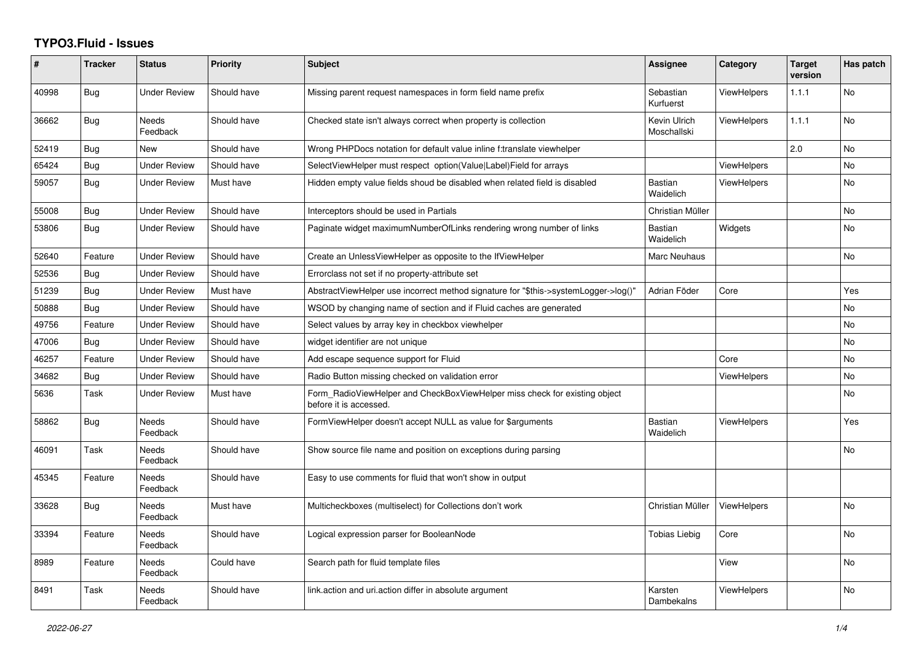## **TYPO3.Fluid - Issues**

| #     | <b>Tracker</b> | <b>Status</b>            | <b>Priority</b> | <b>Subject</b>                                                                                       | Assignee                    | Category           | <b>Target</b><br>version | Has patch |
|-------|----------------|--------------------------|-----------------|------------------------------------------------------------------------------------------------------|-----------------------------|--------------------|--------------------------|-----------|
| 40998 | Bug            | <b>Under Review</b>      | Should have     | Missing parent request namespaces in form field name prefix                                          | Sebastian<br>Kurfuerst      | <b>ViewHelpers</b> | 1.1.1                    | No        |
| 36662 | <b>Bug</b>     | <b>Needs</b><br>Feedback | Should have     | Checked state isn't always correct when property is collection                                       | Kevin Ulrich<br>Moschallski | <b>ViewHelpers</b> | 1.1.1                    | <b>No</b> |
| 52419 | <b>Bug</b>     | New                      | Should have     | Wrong PHPDocs notation for default value inline f:translate viewhelper                               |                             |                    | 2.0                      | <b>No</b> |
| 65424 | Bug            | <b>Under Review</b>      | Should have     | SelectViewHelper must respect option(Value Label)Field for arrays                                    |                             | <b>ViewHelpers</b> |                          | No        |
| 59057 | <b>Bug</b>     | Under Review             | Must have       | Hidden empty value fields shoud be disabled when related field is disabled                           | <b>Bastian</b><br>Waidelich | <b>ViewHelpers</b> |                          | <b>No</b> |
| 55008 | Bug            | <b>Under Review</b>      | Should have     | Interceptors should be used in Partials                                                              | Christian Müller            |                    |                          | <b>No</b> |
| 53806 | <b>Bug</b>     | Under Review             | Should have     | Paginate widget maximumNumberOfLinks rendering wrong number of links                                 | <b>Bastian</b><br>Waidelich | Widgets            |                          | No        |
| 52640 | Feature        | <b>Under Review</b>      | Should have     | Create an UnlessViewHelper as opposite to the IfViewHelper                                           | Marc Neuhaus                |                    |                          | <b>No</b> |
| 52536 | Bug            | <b>Under Review</b>      | Should have     | Errorclass not set if no property-attribute set                                                      |                             |                    |                          |           |
| 51239 | Bug            | <b>Under Review</b>      | Must have       | AbstractViewHelper use incorrect method signature for "\$this->systemLogger->log()"                  | Adrian Föder                | Core               |                          | Yes       |
| 50888 | <b>Bug</b>     | Under Review             | Should have     | WSOD by changing name of section and if Fluid caches are generated                                   |                             |                    |                          | No        |
| 49756 | Feature        | <b>Under Review</b>      | Should have     | Select values by array key in checkbox viewhelper                                                    |                             |                    |                          | <b>No</b> |
| 47006 | Bug            | <b>Under Review</b>      | Should have     | widget identifier are not unique                                                                     |                             |                    |                          | No.       |
| 46257 | Feature        | <b>Under Review</b>      | Should have     | Add escape sequence support for Fluid                                                                |                             | Core               |                          | <b>No</b> |
| 34682 | <b>Bug</b>     | <b>Under Review</b>      | Should have     | Radio Button missing checked on validation error                                                     |                             | ViewHelpers        |                          | <b>No</b> |
| 5636  | Task           | <b>Under Review</b>      | Must have       | Form RadioViewHelper and CheckBoxViewHelper miss check for existing object<br>before it is accessed. |                             |                    |                          | No        |
| 58862 | <b>Bug</b>     | <b>Needs</b><br>Feedback | Should have     | FormViewHelper doesn't accept NULL as value for \$arguments                                          | <b>Bastian</b><br>Waidelich | <b>ViewHelpers</b> |                          | Yes       |
| 46091 | Task           | Needs<br>Feedback        | Should have     | Show source file name and position on exceptions during parsing                                      |                             |                    |                          | <b>No</b> |
| 45345 | Feature        | Needs<br>Feedback        | Should have     | Easy to use comments for fluid that won't show in output                                             |                             |                    |                          |           |
| 33628 | <b>Bug</b>     | Needs<br>Feedback        | Must have       | Multicheckboxes (multiselect) for Collections don't work                                             | Christian Müller            | <b>ViewHelpers</b> |                          | <b>No</b> |
| 33394 | Feature        | Needs<br>Feedback        | Should have     | Logical expression parser for BooleanNode                                                            | <b>Tobias Liebig</b>        | Core               |                          | <b>No</b> |
| 8989  | Feature        | Needs<br>Feedback        | Could have      | Search path for fluid template files                                                                 |                             | View               |                          | No        |
| 8491  | Task           | Needs<br>Feedback        | Should have     | link.action and uri.action differ in absolute argument                                               | Karsten<br>Dambekalns       | <b>ViewHelpers</b> |                          | <b>No</b> |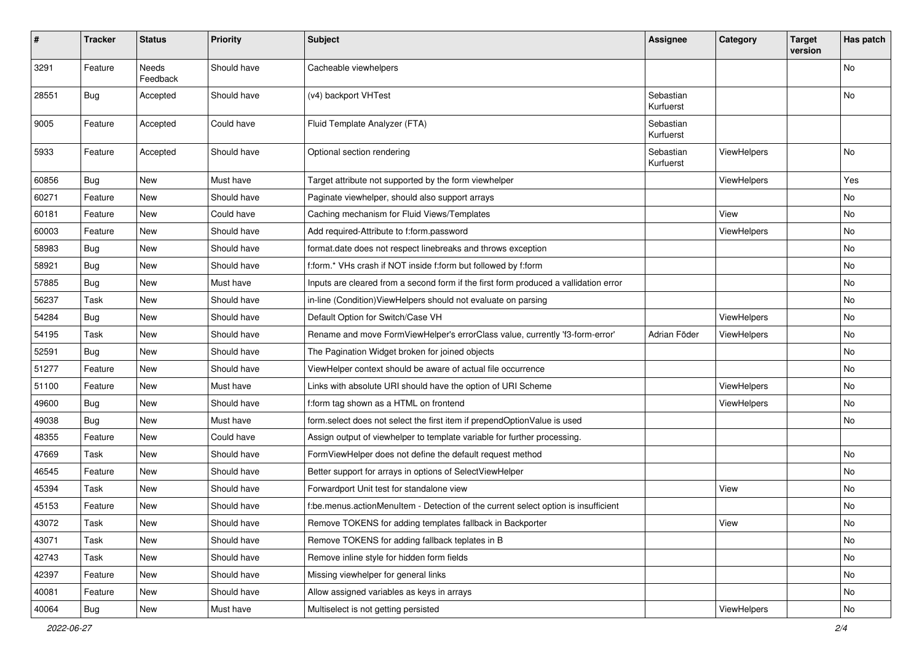| $\sharp$ | <b>Tracker</b> | <b>Status</b>     | <b>Priority</b> | <b>Subject</b>                                                                       | <b>Assignee</b>        | Category           | <b>Target</b><br>version | Has patch |
|----------|----------------|-------------------|-----------------|--------------------------------------------------------------------------------------|------------------------|--------------------|--------------------------|-----------|
| 3291     | Feature        | Needs<br>Feedback | Should have     | Cacheable viewhelpers                                                                |                        |                    |                          | <b>No</b> |
| 28551    | Bug            | Accepted          | Should have     | (v4) backport VHTest                                                                 | Sebastian<br>Kurfuerst |                    |                          | No        |
| 9005     | Feature        | Accepted          | Could have      | Fluid Template Analyzer (FTA)                                                        | Sebastian<br>Kurfuerst |                    |                          |           |
| 5933     | Feature        | Accepted          | Should have     | Optional section rendering                                                           | Sebastian<br>Kurfuerst | ViewHelpers        |                          | No        |
| 60856    | Bug            | New               | Must have       | Target attribute not supported by the form viewhelper                                |                        | ViewHelpers        |                          | Yes       |
| 60271    | Feature        | New               | Should have     | Paginate viewhelper, should also support arrays                                      |                        |                    |                          | No        |
| 60181    | Feature        | New               | Could have      | Caching mechanism for Fluid Views/Templates                                          |                        | View               |                          | No        |
| 60003    | Feature        | New               | Should have     | Add required-Attribute to f:form.password                                            |                        | ViewHelpers        |                          | No        |
| 58983    | Bug            | New               | Should have     | format.date does not respect linebreaks and throws exception                         |                        |                    |                          | No        |
| 58921    | Bug            | New               | Should have     | f:form.* VHs crash if NOT inside f:form but followed by f:form                       |                        |                    |                          | No        |
| 57885    | Bug            | New               | Must have       | Inputs are cleared from a second form if the first form produced a vallidation error |                        |                    |                          | No        |
| 56237    | Task           | New               | Should have     | in-line (Condition) ViewHelpers should not evaluate on parsing                       |                        |                    |                          | No        |
| 54284    | Bug            | New               | Should have     | Default Option for Switch/Case VH                                                    |                        | ViewHelpers        |                          | No        |
| 54195    | Task           | New               | Should have     | Rename and move FormViewHelper's errorClass value, currently 'f3-form-error'         | Adrian Föder           | <b>ViewHelpers</b> |                          | No        |
| 52591    | Bug            | New               | Should have     | The Pagination Widget broken for joined objects                                      |                        |                    |                          | No        |
| 51277    | Feature        | New               | Should have     | ViewHelper context should be aware of actual file occurrence                         |                        |                    |                          | No        |
| 51100    | Feature        | New               | Must have       | Links with absolute URI should have the option of URI Scheme                         |                        | ViewHelpers        |                          | No        |
| 49600    | Bug            | New               | Should have     | f:form tag shown as a HTML on frontend                                               |                        | ViewHelpers        |                          | No        |
| 49038    | Bug            | New               | Must have       | form.select does not select the first item if prependOptionValue is used             |                        |                    |                          | No        |
| 48355    | Feature        | New               | Could have      | Assign output of viewhelper to template variable for further processing.             |                        |                    |                          |           |
| 47669    | Task           | New               | Should have     | FormViewHelper does not define the default request method                            |                        |                    |                          | No        |
| 46545    | Feature        | New               | Should have     | Better support for arrays in options of SelectViewHelper                             |                        |                    |                          | No        |
| 45394    | Task           | New               | Should have     | Forwardport Unit test for standalone view                                            |                        | View               |                          | No        |
| 45153    | Feature        | New               | Should have     | f:be.menus.actionMenuItem - Detection of the current select option is insufficient   |                        |                    |                          | No        |
| 43072    | Task           | New               | Should have     | Remove TOKENS for adding templates fallback in Backporter                            |                        | View               |                          | No        |
| 43071    | Task           | New               | Should have     | Remove TOKENS for adding fallback teplates in B                                      |                        |                    |                          | No        |
| 42743    | Task           | New               | Should have     | Remove inline style for hidden form fields                                           |                        |                    |                          | No        |
| 42397    | Feature        | New               | Should have     | Missing viewhelper for general links                                                 |                        |                    |                          | No        |
| 40081    | Feature        | New               | Should have     | Allow assigned variables as keys in arrays                                           |                        |                    |                          | No        |
| 40064    | <b>Bug</b>     | New               | Must have       | Multiselect is not getting persisted                                                 |                        | ViewHelpers        |                          | No        |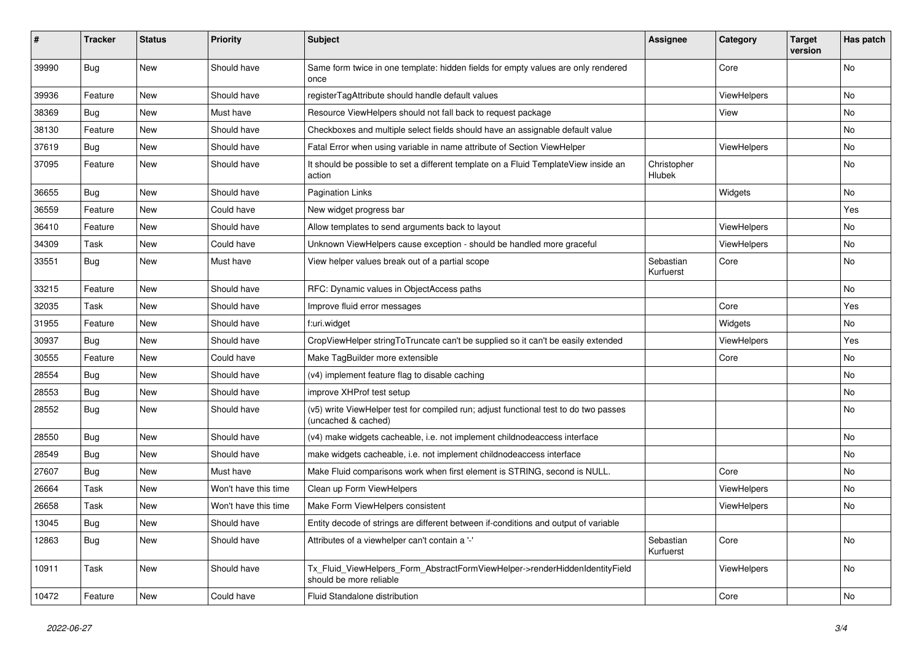| ∦     | <b>Tracker</b> | <b>Status</b> | <b>Priority</b>      | <b>Subject</b>                                                                                              | <b>Assignee</b>        | Category           | <b>Target</b><br>version | Has patch |
|-------|----------------|---------------|----------------------|-------------------------------------------------------------------------------------------------------------|------------------------|--------------------|--------------------------|-----------|
| 39990 | <b>Bug</b>     | New           | Should have          | Same form twice in one template: hidden fields for empty values are only rendered<br>once                   |                        | Core               |                          | No        |
| 39936 | Feature        | New           | Should have          | registerTagAttribute should handle default values                                                           |                        | ViewHelpers        |                          | No        |
| 38369 | Bug            | New           | Must have            | Resource ViewHelpers should not fall back to request package                                                |                        | View               |                          | No        |
| 38130 | Feature        | New           | Should have          | Checkboxes and multiple select fields should have an assignable default value                               |                        |                    |                          | No        |
| 37619 | Bug            | New           | Should have          | Fatal Error when using variable in name attribute of Section ViewHelper                                     |                        | ViewHelpers        |                          | <b>No</b> |
| 37095 | Feature        | New           | Should have          | It should be possible to set a different template on a Fluid TemplateView inside an<br>action               | Christopher<br>Hlubek  |                    |                          | No        |
| 36655 | <b>Bug</b>     | <b>New</b>    | Should have          | <b>Pagination Links</b>                                                                                     |                        | Widgets            |                          | <b>No</b> |
| 36559 | Feature        | <b>New</b>    | Could have           | New widget progress bar                                                                                     |                        |                    |                          | Yes       |
| 36410 | Feature        | <b>New</b>    | Should have          | Allow templates to send arguments back to layout                                                            |                        | ViewHelpers        |                          | <b>No</b> |
| 34309 | Task           | <b>New</b>    | Could have           | Unknown ViewHelpers cause exception - should be handled more graceful                                       |                        | <b>ViewHelpers</b> |                          | No        |
| 33551 | <b>Bug</b>     | New           | Must have            | View helper values break out of a partial scope                                                             | Sebastian<br>Kurfuerst | Core               |                          | <b>No</b> |
| 33215 | Feature        | New           | Should have          | RFC: Dynamic values in ObjectAccess paths                                                                   |                        |                    |                          | No        |
| 32035 | Task           | New           | Should have          | Improve fluid error messages                                                                                |                        | Core               |                          | Yes       |
| 31955 | Feature        | New           | Should have          | f:uri.widget                                                                                                |                        | Widgets            |                          | No        |
| 30937 | Bug            | New           | Should have          | CropViewHelper stringToTruncate can't be supplied so it can't be easily extended                            |                        | <b>ViewHelpers</b> |                          | Yes       |
| 30555 | Feature        | New           | Could have           | Make TagBuilder more extensible                                                                             |                        | Core               |                          | No        |
| 28554 | <b>Bug</b>     | New           | Should have          | (v4) implement feature flag to disable caching                                                              |                        |                    |                          | <b>No</b> |
| 28553 | Bug            | New           | Should have          | improve XHProf test setup                                                                                   |                        |                    |                          | <b>No</b> |
| 28552 | Bug            | New           | Should have          | (v5) write ViewHelper test for compiled run; adjust functional test to do two passes<br>(uncached & cached) |                        |                    |                          | <b>No</b> |
| 28550 | Bug            | New           | Should have          | (v4) make widgets cacheable, i.e. not implement childnodeaccess interface                                   |                        |                    |                          | No        |
| 28549 | Bug            | New           | Should have          | make widgets cacheable, i.e. not implement childnodeaccess interface                                        |                        |                    |                          | No        |
| 27607 | Bug            | New           | Must have            | Make Fluid comparisons work when first element is STRING, second is NULL.                                   |                        | Core               |                          | No        |
| 26664 | Task           | New           | Won't have this time | Clean up Form ViewHelpers                                                                                   |                        | ViewHelpers        |                          | No        |
| 26658 | Task           | New           | Won't have this time | Make Form ViewHelpers consistent                                                                            |                        | ViewHelpers        |                          | No        |
| 13045 | <b>Bug</b>     | New           | Should have          | Entity decode of strings are different between if-conditions and output of variable                         |                        |                    |                          |           |
| 12863 | <b>Bug</b>     | New           | Should have          | Attributes of a viewhelper can't contain a '-'                                                              | Sebastian<br>Kurfuerst | Core               |                          | <b>No</b> |
| 10911 | Task           | <b>New</b>    | Should have          | Tx Fluid ViewHelpers Form AbstractFormViewHelper->renderHiddenIdentityField<br>should be more reliable      |                        | <b>ViewHelpers</b> |                          | <b>No</b> |
| 10472 | Feature        | New           | Could have           | Fluid Standalone distribution                                                                               |                        | Core               |                          | <b>No</b> |